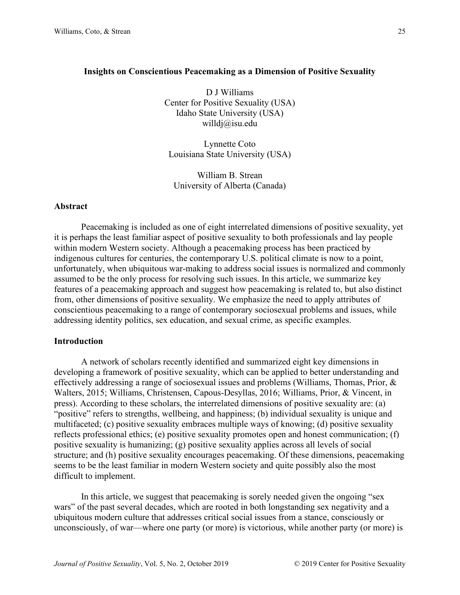# **Insights on Conscientious Peacemaking as a Dimension of Positive Sexuality**

D J Williams Center for Positive Sexuality (USA) Idaho State University (USA) willdj@isu.edu

Lynnette Coto Louisiana State University (USA)

William B. Strean University of Alberta (Canada)

# **Abstract**

Peacemaking is included as one of eight interrelated dimensions of positive sexuality, yet it is perhaps the least familiar aspect of positive sexuality to both professionals and lay people within modern Western society. Although a peacemaking process has been practiced by indigenous cultures for centuries, the contemporary U.S. political climate is now to a point, unfortunately, when ubiquitous war-making to address social issues is normalized and commonly assumed to be the only process for resolving such issues. In this article, we summarize key features of a peacemaking approach and suggest how peacemaking is related to, but also distinct from, other dimensions of positive sexuality. We emphasize the need to apply attributes of conscientious peacemaking to a range of contemporary sociosexual problems and issues, while addressing identity politics, sex education, and sexual crime, as specific examples.

# **Introduction**

A network of scholars recently identified and summarized eight key dimensions in developing a framework of positive sexuality, which can be applied to better understanding and effectively addressing a range of sociosexual issues and problems (Williams, Thomas, Prior, & Walters, 2015; Williams, Christensen, Capous-Desyllas, 2016; Williams, Prior, & Vincent, in press). According to these scholars, the interrelated dimensions of positive sexuality are: (a) "positive" refers to strengths, wellbeing, and happiness; (b) individual sexuality is unique and multifaceted; (c) positive sexuality embraces multiple ways of knowing; (d) positive sexuality reflects professional ethics; (e) positive sexuality promotes open and honest communication; (f) positive sexuality is humanizing; (g) positive sexuality applies across all levels of social structure; and (h) positive sexuality encourages peacemaking. Of these dimensions, peacemaking seems to be the least familiar in modern Western society and quite possibly also the most difficult to implement.

In this article, we suggest that peacemaking is sorely needed given the ongoing "sex wars" of the past several decades, which are rooted in both longstanding sex negativity and a ubiquitous modern culture that addresses critical social issues from a stance, consciously or unconsciously, of war—where one party (or more) is victorious, while another party (or more) is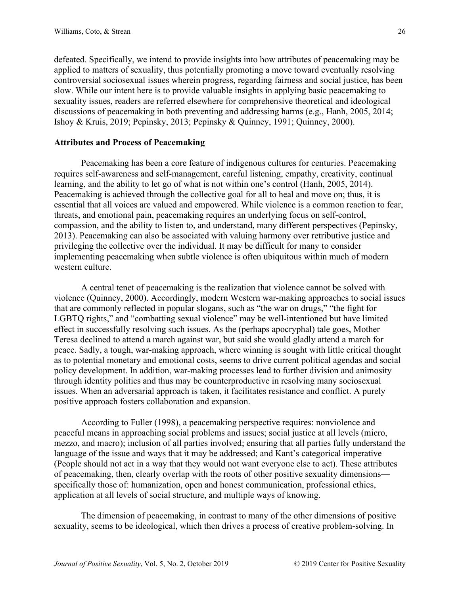defeated. Specifically, we intend to provide insights into how attributes of peacemaking may be applied to matters of sexuality, thus potentially promoting a move toward eventually resolving controversial sociosexual issues wherein progress, regarding fairness and social justice, has been slow. While our intent here is to provide valuable insights in applying basic peacemaking to sexuality issues, readers are referred elsewhere for comprehensive theoretical and ideological discussions of peacemaking in both preventing and addressing harms (e.g., Hanh, 2005, 2014; Ishoy & Kruis, 2019; Pepinsky, 2013; Pepinsky & Quinney, 1991; Quinney, 2000).

# **Attributes and Process of Peacemaking**

Peacemaking has been a core feature of indigenous cultures for centuries. Peacemaking requires self-awareness and self-management, careful listening, empathy, creativity, continual learning, and the ability to let go of what is not within one's control (Hanh, 2005, 2014). Peacemaking is achieved through the collective goal for all to heal and move on; thus, it is essential that all voices are valued and empowered. While violence is a common reaction to fear, threats, and emotional pain, peacemaking requires an underlying focus on self-control, compassion, and the ability to listen to, and understand, many different perspectives (Pepinsky, 2013). Peacemaking can also be associated with valuing harmony over retributive justice and privileging the collective over the individual. It may be difficult for many to consider implementing peacemaking when subtle violence is often ubiquitous within much of modern western culture.

A central tenet of peacemaking is the realization that violence cannot be solved with violence (Quinney, 2000). Accordingly, modern Western war-making approaches to social issues that are commonly reflected in popular slogans, such as "the war on drugs," "the fight for LGBTQ rights," and "combatting sexual violence" may be well-intentioned but have limited effect in successfully resolving such issues. As the (perhaps apocryphal) tale goes, Mother Teresa declined to attend a march against war, but said she would gladly attend a march for peace. Sadly, a tough, war-making approach, where winning is sought with little critical thought as to potential monetary and emotional costs, seems to drive current political agendas and social policy development. In addition, war-making processes lead to further division and animosity through identity politics and thus may be counterproductive in resolving many sociosexual issues. When an adversarial approach is taken, it facilitates resistance and conflict. A purely positive approach fosters collaboration and expansion.

According to Fuller (1998), a peacemaking perspective requires: nonviolence and peaceful means in approaching social problems and issues; social justice at all levels (micro, mezzo, and macro); inclusion of all parties involved; ensuring that all parties fully understand the language of the issue and ways that it may be addressed; and Kant's categorical imperative (People should not act in a way that they would not want everyone else to act). These attributes of peacemaking, then, clearly overlap with the roots of other positive sexuality dimensions specifically those of: humanization, open and honest communication, professional ethics, application at all levels of social structure, and multiple ways of knowing.

The dimension of peacemaking, in contrast to many of the other dimensions of positive sexuality, seems to be ideological, which then drives a process of creative problem-solving. In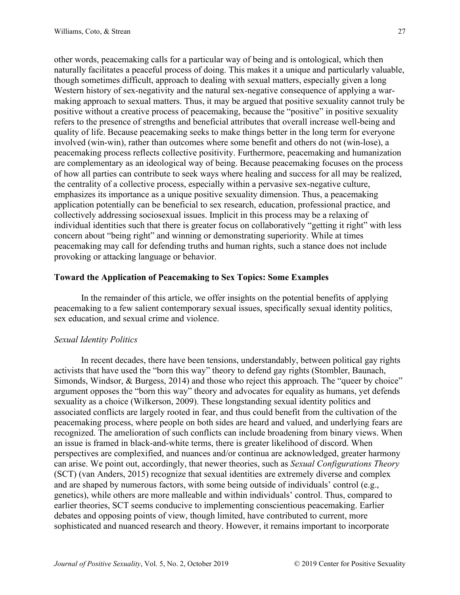other words, peacemaking calls for a particular way of being and is ontological, which then naturally facilitates a peaceful process of doing. This makes it a unique and particularly valuable, though sometimes difficult, approach to dealing with sexual matters, especially given a long Western history of sex-negativity and the natural sex-negative consequence of applying a warmaking approach to sexual matters. Thus, it may be argued that positive sexuality cannot truly be positive without a creative process of peacemaking, because the "positive" in positive sexuality refers to the presence of strengths and beneficial attributes that overall increase well-being and quality of life. Because peacemaking seeks to make things better in the long term for everyone involved (win-win), rather than outcomes where some benefit and others do not (win-lose), a peacemaking process reflects collective positivity. Furthermore, peacemaking and humanization are complementary as an ideological way of being. Because peacemaking focuses on the process of how all parties can contribute to seek ways where healing and success for all may be realized, the centrality of a collective process, especially within a pervasive sex-negative culture, emphasizes its importance as a unique positive sexuality dimension. Thus, a peacemaking application potentially can be beneficial to sex research, education, professional practice, and collectively addressing sociosexual issues. Implicit in this process may be a relaxing of individual identities such that there is greater focus on collaboratively "getting it right" with less concern about "being right" and winning or demonstrating superiority. While at times peacemaking may call for defending truths and human rights, such a stance does not include provoking or attacking language or behavior.

#### **Toward the Application of Peacemaking to Sex Topics: Some Examples**

In the remainder of this article, we offer insights on the potential benefits of applying peacemaking to a few salient contemporary sexual issues, specifically sexual identity politics, sex education, and sexual crime and violence.

# *Sexual Identity Politics*

In recent decades, there have been tensions, understandably, between political gay rights activists that have used the "born this way" theory to defend gay rights (Stombler, Baunach, Simonds, Windsor, & Burgess, 2014) and those who reject this approach. The "queer by choice" argument opposes the "born this way" theory and advocates for equality as humans, yet defends sexuality as a choice (Wilkerson, 2009). These longstanding sexual identity politics and associated conflicts are largely rooted in fear, and thus could benefit from the cultivation of the peacemaking process, where people on both sides are heard and valued, and underlying fears are recognized. The amelioration of such conflicts can include broadening from binary views. When an issue is framed in black-and-white terms, there is greater likelihood of discord. When perspectives are complexified, and nuances and/or continua are acknowledged, greater harmony can arise. We point out, accordingly, that newer theories, such as *Sexual Configurations Theory* (SCT) (van Anders, 2015) recognize that sexual identities are extremely diverse and complex and are shaped by numerous factors, with some being outside of individuals' control (e.g., genetics), while others are more malleable and within individuals' control. Thus, compared to earlier theories, SCT seems conducive to implementing conscientious peacemaking. Earlier debates and opposing points of view, though limited, have contributed to current, more sophisticated and nuanced research and theory. However, it remains important to incorporate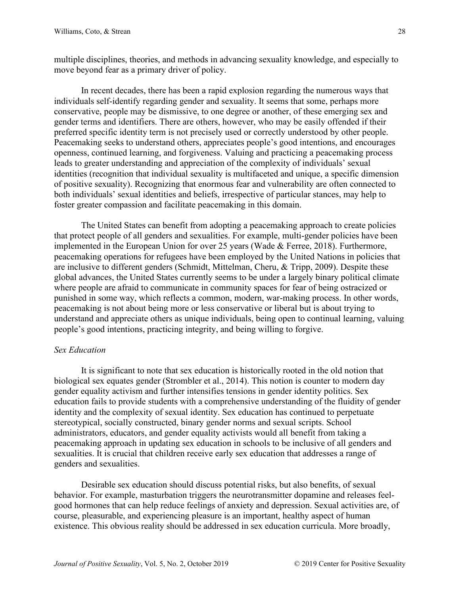multiple disciplines, theories, and methods in advancing sexuality knowledge, and especially to move beyond fear as a primary driver of policy.

In recent decades, there has been a rapid explosion regarding the numerous ways that individuals self-identify regarding gender and sexuality. It seems that some, perhaps more conservative, people may be dismissive, to one degree or another, of these emerging sex and gender terms and identifiers. There are others, however, who may be easily offended if their preferred specific identity term is not precisely used or correctly understood by other people. Peacemaking seeks to understand others, appreciates people's good intentions, and encourages openness, continued learning, and forgiveness. Valuing and practicing a peacemaking process leads to greater understanding and appreciation of the complexity of individuals' sexual identities (recognition that individual sexuality is multifaceted and unique, a specific dimension of positive sexuality). Recognizing that enormous fear and vulnerability are often connected to both individuals' sexual identities and beliefs, irrespective of particular stances, may help to foster greater compassion and facilitate peacemaking in this domain.

The United States can benefit from adopting a peacemaking approach to create policies that protect people of all genders and sexualities. For example, multi-gender policies have been implemented in the European Union for over 25 years (Wade & Ferree, 2018). Furthermore, peacemaking operations for refugees have been employed by the United Nations in policies that are inclusive to different genders (Schmidt, Mittelman, Cheru, & Tripp, 2009). Despite these global advances, the United States currently seems to be under a largely binary political climate where people are afraid to communicate in community spaces for fear of being ostracized or punished in some way, which reflects a common, modern, war-making process. In other words, peacemaking is not about being more or less conservative or liberal but is about trying to understand and appreciate others as unique individuals, being open to continual learning, valuing people's good intentions, practicing integrity, and being willing to forgive.

# *Sex Education*

It is significant to note that sex education is historically rooted in the old notion that biological sex equates gender (Strombler et al., 2014). This notion is counter to modern day gender equality activism and further intensifies tensions in gender identity politics. Sex education fails to provide students with a comprehensive understanding of the fluidity of gender identity and the complexity of sexual identity. Sex education has continued to perpetuate stereotypical, socially constructed, binary gender norms and sexual scripts. School administrators, educators, and gender equality activists would all benefit from taking a peacemaking approach in updating sex education in schools to be inclusive of all genders and sexualities. It is crucial that children receive early sex education that addresses a range of genders and sexualities.

Desirable sex education should discuss potential risks, but also benefits, of sexual behavior. For example, masturbation triggers the neurotransmitter dopamine and releases feelgood hormones that can help reduce feelings of anxiety and depression. Sexual activities are, of course, pleasurable, and experiencing pleasure is an important, healthy aspect of human existence. This obvious reality should be addressed in sex education curricula. More broadly,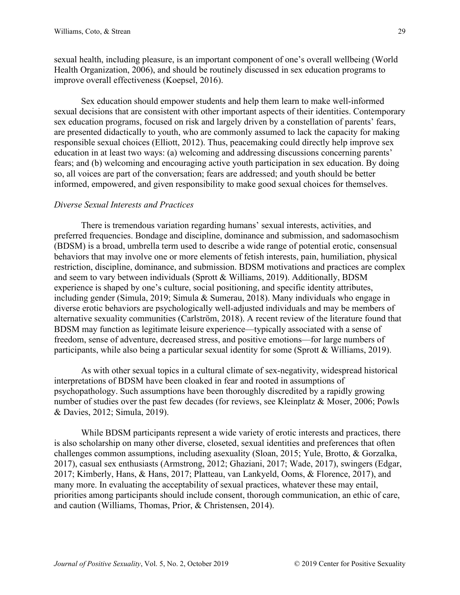Health Organization, 2006), and should be routinely discussed in sex education programs to improve overall effectiveness (Koepsel, 2016).

Sex education should empower students and help them learn to make well-informed sexual decisions that are consistent with other important aspects of their identities. Contemporary sex education programs, focused on risk and largely driven by a constellation of parents' fears, are presented didactically to youth, who are commonly assumed to lack the capacity for making responsible sexual choices (Elliott, 2012). Thus, peacemaking could directly help improve sex education in at least two ways: (a) welcoming and addressing discussions concerning parents' fears; and (b) welcoming and encouraging active youth participation in sex education. By doing so, all voices are part of the conversation; fears are addressed; and youth should be better informed, empowered, and given responsibility to make good sexual choices for themselves.

# *Diverse Sexual Interests and Practices*

There is tremendous variation regarding humans' sexual interests, activities, and preferred frequencies. Bondage and discipline, dominance and submission, and sadomasochism (BDSM) is a broad, umbrella term used to describe a wide range of potential erotic, consensual behaviors that may involve one or more elements of fetish interests, pain, humiliation, physical restriction, discipline, dominance, and submission. BDSM motivations and practices are complex and seem to vary between individuals (Sprott & Williams, 2019). Additionally, BDSM experience is shaped by one's culture, social positioning, and specific identity attributes, including gender (Simula, 2019; Simula & Sumerau, 2018). Many individuals who engage in diverse erotic behaviors are psychologically well-adjusted individuals and may be members of alternative sexuality communities (Carlström, 2018). A recent review of the literature found that BDSM may function as legitimate leisure experience—typically associated with a sense of freedom, sense of adventure, decreased stress, and positive emotions—for large numbers of participants, while also being a particular sexual identity for some (Sprott & Williams, 2019).

As with other sexual topics in a cultural climate of sex-negativity, widespread historical interpretations of BDSM have been cloaked in fear and rooted in assumptions of psychopathology. Such assumptions have been thoroughly discredited by a rapidly growing number of studies over the past few decades (for reviews, see Kleinplatz & Moser, 2006; Powls & Davies, 2012; Simula, 2019).

While BDSM participants represent a wide variety of erotic interests and practices, there is also scholarship on many other diverse, closeted, sexual identities and preferences that often challenges common assumptions, including asexuality (Sloan, 2015; Yule, Brotto, & Gorzalka, 2017), casual sex enthusiasts (Armstrong, 2012; Ghaziani, 2017; Wade, 2017), swingers (Edgar, 2017; Kimberly, Hans, & Hans, 2017; Platteau, van Lankyeld, Ooms, & Florence, 2017), and many more. In evaluating the acceptability of sexual practices, whatever these may entail, priorities among participants should include consent, thorough communication, an ethic of care, and caution (Williams, Thomas, Prior, & Christensen, 2014).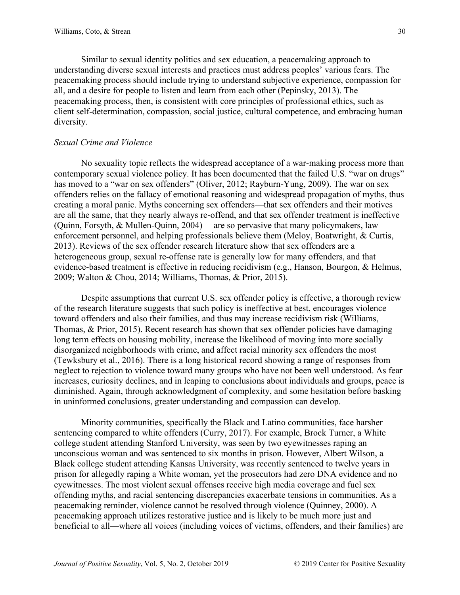Similar to sexual identity politics and sex education, a peacemaking approach to understanding diverse sexual interests and practices must address peoples' various fears. The peacemaking process should include trying to understand subjective experience, compassion for all, and a desire for people to listen and learn from each other (Pepinsky, 2013). The peacemaking process, then, is consistent with core principles of professional ethics, such as client self-determination, compassion, social justice, cultural competence, and embracing human diversity.

#### *Sexual Crime and Violence*

No sexuality topic reflects the widespread acceptance of a war-making process more than contemporary sexual violence policy. It has been documented that the failed U.S. "war on drugs" has moved to a "war on sex offenders" (Oliver, 2012; Rayburn-Yung, 2009). The war on sex offenders relies on the fallacy of emotional reasoning and widespread propagation of myths, thus creating a moral panic. Myths concerning sex offenders—that sex offenders and their motives are all the same, that they nearly always re-offend, and that sex offender treatment is ineffective (Quinn, Forsyth, & Mullen-Quinn, 2004) —are so pervasive that many policymakers, law enforcement personnel, and helping professionals believe them (Meloy, Boatwright, & Curtis, 2013). Reviews of the sex offender research literature show that sex offenders are a heterogeneous group, sexual re-offense rate is generally low for many offenders, and that evidence-based treatment is effective in reducing recidivism (e.g., Hanson, Bourgon, & Helmus, 2009; Walton & Chou, 2014; Williams, Thomas, & Prior, 2015).

Despite assumptions that current U.S. sex offender policy is effective, a thorough review of the research literature suggests that such policy is ineffective at best, encourages violence toward offenders and also their families, and thus may increase recidivism risk (Williams, Thomas, & Prior, 2015). Recent research has shown that sex offender policies have damaging long term effects on housing mobility, increase the likelihood of moving into more socially disorganized neighborhoods with crime, and affect racial minority sex offenders the most (Tewksbury et al., 2016). There is a long historical record showing a range of responses from neglect to rejection to violence toward many groups who have not been well understood. As fear increases, curiosity declines, and in leaping to conclusions about individuals and groups, peace is diminished. Again, through acknowledgment of complexity, and some hesitation before basking in uninformed conclusions, greater understanding and compassion can develop.

Minority communities, specifically the Black and Latino communities, face harsher sentencing compared to white offenders (Curry, 2017). For example, Brock Turner, a White college student attending Stanford University, was seen by two eyewitnesses raping an unconscious woman and was sentenced to six months in prison. However, Albert Wilson, a Black college student attending Kansas University, was recently sentenced to twelve years in prison for allegedly raping a White woman, yet the prosecutors had zero DNA evidence and no eyewitnesses. The most violent sexual offenses receive high media coverage and fuel sex offending myths, and racial sentencing discrepancies exacerbate tensions in communities. As a peacemaking reminder, violence cannot be resolved through violence (Quinney, 2000). A peacemaking approach utilizes restorative justice and is likely to be much more just and beneficial to all—where all voices (including voices of victims, offenders, and their families) are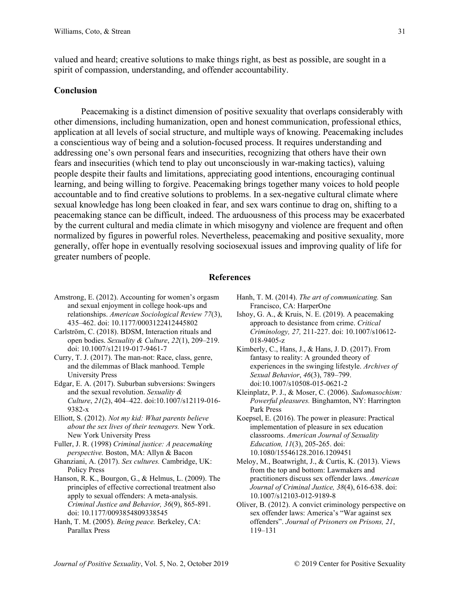valued and heard; creative solutions to make things right, as best as possible, are sought in a spirit of compassion, understanding, and offender accountability.

#### **Conclusion**

Peacemaking is a distinct dimension of positive sexuality that overlaps considerably with other dimensions, including humanization, open and honest communication, professional ethics, application at all levels of social structure, and multiple ways of knowing. Peacemaking includes a conscientious way of being and a solution-focused process. It requires understanding and addressing one's own personal fears and insecurities, recognizing that others have their own fears and insecurities (which tend to play out unconsciously in war-making tactics), valuing people despite their faults and limitations, appreciating good intentions, encouraging continual learning, and being willing to forgive. Peacemaking brings together many voices to hold people accountable and to find creative solutions to problems. In a sex-negative cultural climate where sexual knowledge has long been cloaked in fear, and sex wars continue to drag on, shifting to a peacemaking stance can be difficult, indeed. The arduousness of this process may be exacerbated by the current cultural and media climate in which misogyny and violence are frequent and often normalized by figures in powerful roles. Nevertheless, peacemaking and positive sexuality, more generally, offer hope in eventually resolving sociosexual issues and improving quality of life for greater numbers of people.

#### **References**

- Amstrong, E. (2012). Accounting for women's orgasm and sexual enjoyment in college hook-ups and relationships. *American Sociological Review 77*(3), 435–462. doi: 10.1177/0003122412445802
- Carlström, C. (2018). BDSM, Interaction rituals and open bodies. *Sexuality & Culture*, *22*(1), 209–219. doi: 10.1007/s12119-017-9461-7
- Curry, T. J. (2017). The man-not: Race, class, genre, and the dilemmas of Black manhood. Temple University Press
- Edgar, E. A. (2017). Suburban subversions: Swingers and the sexual revolution. *Sexuality & Culture*, *21*(2), 404–422. doi:10.1007/s12119-016- 9382-x
- Elliott, S. (2012). *Not my kid: What parents believe about the sex lives of their teenagers.* New York. New York University Press
- Fuller, J. R. (1998) *Criminal justice: A peacemaking perspective.* Boston, MA: Allyn & Bacon
- Ghanziani, A. (2017). *Sex cultures.* Cambridge, UK: Policy Press
- Hanson, R. K., Bourgon, G., & Helmus, L. (2009). The principles of effective correctional treatment also apply to sexual offenders: A meta-analysis. *Criminal Justice and Behavior, 36*(9), 865-891. doi: 10.1177/0093854809338545
- Hanh, T. M. (2005). *Being peace.* Berkeley, CA: Parallax Press
- Hanh, T. M. (2014). *The art of communicating.* San Francisco, CA: HarperOne
- Ishoy, G. A., & Kruis, N. E. (2019). A peacemaking approach to desistance from crime. *Critical Criminology, 27,* 211-227. doi: 10.1007/s10612- 018-9405-z
- Kimberly, C., Hans, J., & Hans, J. D. (2017). From fantasy to reality: A grounded theory of experiences in the swinging lifestyle. *Archives of Sexual Behavior*, *46*(3), 789–799. doi:10.1007/s10508-015-0621-2
- Kleinplatz, P. J., & Moser, C. (2006). *Sadomasochism: Powerful pleasures.* Binghamton, NY: Harrington Park Press
- Koepsel, E. (2016). The power in pleasure: Practical implementation of pleasure in sex education classrooms. *American Journal of Sexuality Education, 11*(3), 205-265. doi: 10.1080/15546128.2016.1209451
- Meloy, M., Boatwright, J., & Curtis, K. (2013). Views from the top and bottom: Lawmakers and practitioners discuss sex offender laws. *American Journal of Criminal Justice, 38*(4), 616-638. doi: 10.1007/s12103-012-9189-8
- Oliver, B. (2012). A convict criminology perspective on sex offender laws: America's "War against sex offenders". *Journal of Prisoners on Prisons, 21*, 119–131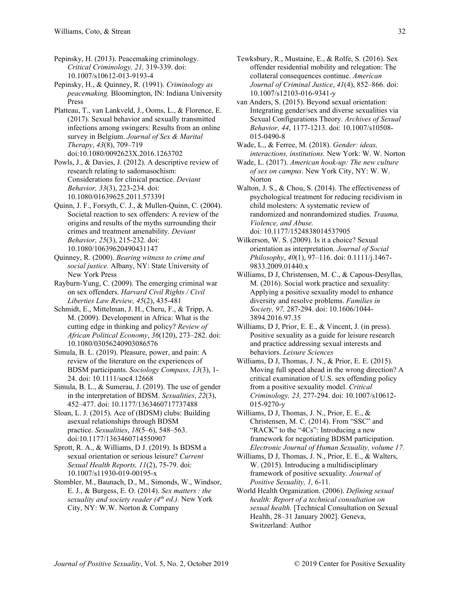Pepinsky, H. (2013). Peacemaking criminology. *Critical Criminology, 21,* 319-339. doi: 10.1007/s10612-013-9193-4

Pepinsky, H., & Quinney, R. (1991). *Criminology as peacemaking.* Bloomington, IN: Indiana University Press

Platteau, T., van Lankveld, J., Ooms, L., & Florence, E. (2017). Sexual behavior and sexually transmitted infections among swingers: Results from an online survey in Belgium. *Journal of Sex & Marital Therapy*, *43*(8), 709–719 doi:10.1080/0092623X.2016.1263702

Powls, J., & Davies, J. (2012). A descriptive review of research relating to sadomasochism: Considerations for clinical practice. *Deviant Behavior, 33*(3), 223-234. doi: 10.1080/01639625.2011.573391

Quinn, J. F., Forsyth, C. J., & Mullen-Quinn, C. (2004). Societal reaction to sex offenders: A review of the origins and results of the myths surrounding their crimes and treatment amenability. *Deviant Behavior, 25*(3), 215-232. doi: 10.1080/10639620490431147

Quinney, R. (2000). *Bearing witness to crime and social justice.* Albany, NY: State University of New York Press

Rayburn-Yung, C. (2009). The emerging criminal war on sex offenders. *Harvard Civil Rights / Civil Liberties Law Review, 45*(2), 435-481

Schmidt, E., Mittelman, J. H., Cheru, F., & Tripp, A. M. (2009). Development in Africa: What is the cutting edge in thinking and policy? *Review of African Political Economy*, *36*(120), 273–282. doi: 10.1080/03056240903086576

Simula, B. L. (2019). Pleasure, power, and pain: A review of the literature on the experiences of BDSM participants. *Sociology Compass, 13*(3), 1- 24. doi: 10.1111/soc4.12668

Simula, B. L., & Sumerau, J. (2019). The use of gender in the interpretation of BDSM. *Sexualities*, *22*(3), 452–477. doi: 10.1177/1363460717737488

Sloan, L. J. (2015). Ace of (BDSM) clubs: Building asexual relationships through BDSM practice. *Sexualities*, *18*(5–6), 548–563. doi:10.1177/1363460714550907

Sprott, R. A., & Williams, D J. (2019). Is BDSM a sexual orientation or serious leisure? *Current Sexual Health Reports, 11*(2), 75-79. doi: 10.1007/s11930-019-00195-x

Stombler, M., Baunach, D., M., Simonds, W., Windsor, E. J., & Burgess, E. O. (2014). *Sex matters : the sexuality and society reader (4th ed.).* New York City, NY: W.W. Norton & Company

Tewksbury, R., Mustaine, E., & Rolfe, S. (2016). Sex offender residential mobility and relegation: The collateral consequences continue. *American Journal of Criminal Justice*, *41*(4), 852–866. doi: 10.1007/s12103-016-9341-y

van Anders, S. (2015). Beyond sexual orientation: Integrating gender/sex and diverse sexualities via Sexual Configurations Theory. *Archives of Sexual Behavior, 44*, 1177-1213. doi: 10.1007/s10508- 015-0490-8

Wade, L., & Ferree, M. (2018). *Gender: ideas, interactions, institutions.* New York: W. W. Norton

Wade, L. (2017). *American hook-up: The new culture of sex on campus*. New York City, NY: W. W. Norton

Walton, J. S., & Chou, S. (2014). The effectiveness of psychological treatment for reducing recidivism in child molesters: A systematic review of randomized and nonrandomized studies. *Trauma, Violence, and Abuse.* doi: 10.1177/1524838014537905

Wilkerson, W. S. (2009). Is it a choice? Sexual orientation as interpretation. *Journal of Social Philosophy*, *40*(1), 97–116. doi: 0.1111/j.1467- 9833.2009.01440.x

Williams, D J, Christensen, M. C., & Capous-Desyllas, M. (2016). Social work practice and sexuality: Applying a positive sexuality model to enhance diversity and resolve problems. *Families in Society, 97,* 287-294. doi: 10.1606/1044- 3894.2016.97.35

Williams, D J, Prior, E. E., & Vincent, J. (in press). Positive sexuality as a guide for leisure research and practice addressing sexual interests and behaviors. *Leisure Sciences* 

Williams, D J, Thomas, J. N., & Prior, E. E. (2015). Moving full speed ahead in the wrong direction? A critical examination of U.S. sex offending policy from a positive sexuality model. *Critical Criminology, 23,* 277-294. doi: 10.1007/s10612- 015-9270-y

Williams, D J, Thomas, J. N., Prior, E. E., & Christensen, M. C. (2014). From "SSC" and "RACK" to the "4Cs": Introducing a new framework for negotiating BDSM participation. *Electronic Journal of Human Sexuality, volume 17.*

Williams, D J, Thomas, J. N., Prior, E. E., & Walters, W. (2015). Introducing a multidisciplinary framework of positive sexuality. *Journal of Positive Sexuality, 1,* 6-11.

World Health Organization. (2006). *Defining sexual health: Report of a technical consultation on sexual health.* [Technical Consultation on Sexual Health, 28–31 January 2002]. Geneva, Switzerland: Author